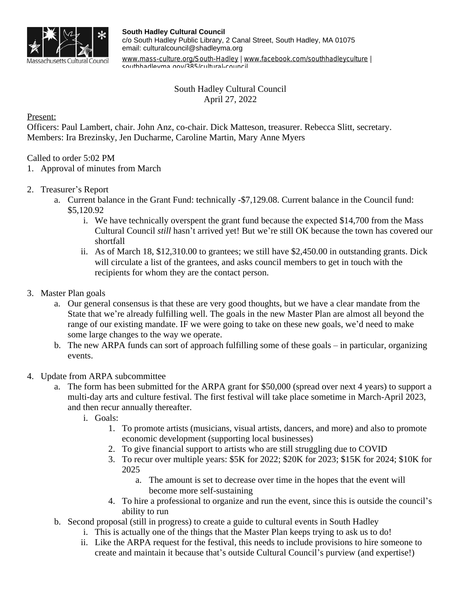

[www.mass-culture.org/South-Hadley](http://www.mass-culture.org/South-Hadley) | [www.facebook.com/southhadleyculture](https://www.facebook.com/southhadleyculture) | southhadleyma.gov/385/cultural-council

## South Hadley Cultural Council April 27, 2022

## Present:

Officers: Paul Lambert, chair. John Anz, co-chair. Dick Matteson, treasurer. Rebecca Slitt, secretary. Members: Ira Brezinsky, Jen Ducharme, Caroline Martin, Mary Anne Myers

## Called to order 5:02 PM

- 1. Approval of minutes from March
- 2. Treasurer's Report
	- a. Current balance in the Grant Fund: technically -\$7,129.08. Current balance in the Council fund: \$5,120.92
		- i. We have technically overspent the grant fund because the expected \$14,700 from the Mass Cultural Council *still* hasn't arrived yet! But we're still OK because the town has covered our shortfall
		- ii. As of March 18, \$12,310.00 to grantees; we still have \$2,450.00 in outstanding grants. Dick will circulate a list of the grantees, and asks council members to get in touch with the recipients for whom they are the contact person.
- 3. Master Plan goals
	- a. Our general consensus is that these are very good thoughts, but we have a clear mandate from the State that we're already fulfilling well. The goals in the new Master Plan are almost all beyond the range of our existing mandate. IF we were going to take on these new goals, we'd need to make some large changes to the way we operate.
	- b. The new ARPA funds can sort of approach fulfilling some of these goals in particular, organizing events.

## 4. Update from ARPA subcommittee

- a. The form has been submitted for the ARPA grant for \$50,000 (spread over next 4 years) to support a multi-day arts and culture festival. The first festival will take place sometime in March-April 2023, and then recur annually thereafter.
	- i. Goals:
		- 1. To promote artists (musicians, visual artists, dancers, and more) and also to promote economic development (supporting local businesses)
		- 2. To give financial support to artists who are still struggling due to COVID
		- 3. To recur over multiple years: \$5K for 2022; \$20K for 2023; \$15K for 2024; \$10K for 2025
			- a. The amount is set to decrease over time in the hopes that the event will become more self-sustaining
		- 4. To hire a professional to organize and run the event, since this is outside the council's ability to run
- b. Second proposal (still in progress) to create a guide to cultural events in South Hadley
	- i. This is actually one of the things that the Master Plan keeps trying to ask us to do!
	- ii. Like the ARPA request for the festival, this needs to include provisions to hire someone to create and maintain it because that's outside Cultural Council's purview (and expertise!)